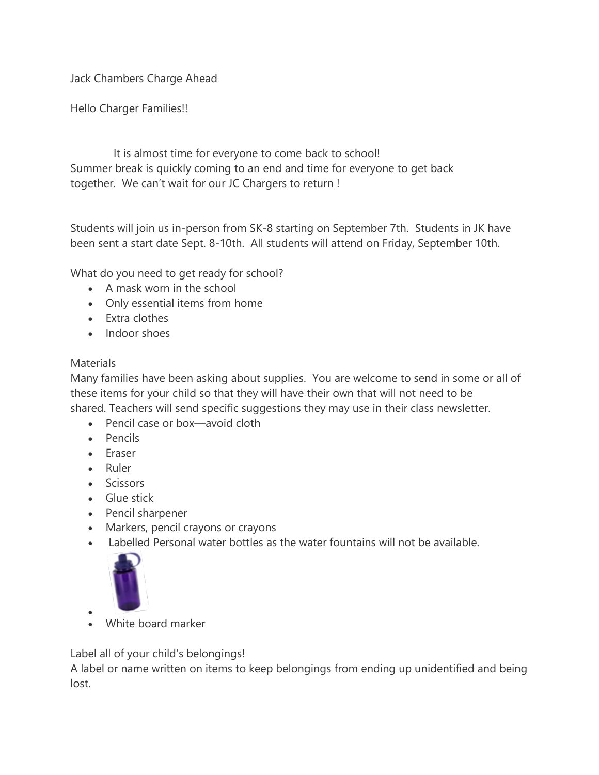Jack Chambers Charge Ahead

Hello Charger Families!!

 It is almost time for everyone to come back to school! Summer break is quickly coming to an end and time for everyone to get back together. We can't wait for our JC Chargers to return !

Students will join us in-person from SK-8 starting on September 7th. Students in JK have been sent a start date Sept. 8-10th. All students will attend on Friday, September 10th.

What do you need to get ready for school?

- A mask worn in the school
- Only essential items from home
- Extra clothes
- Indoor shoes

### **Materials**

Many families have been asking about supplies. You are welcome to send in some or all of these items for your child so that they will have their own that will not need to be shared. Teachers will send specific suggestions they may use in their class newsletter.

- Pencil case or box—avoid cloth
- Pencils
- Eraser
- Ruler
- Scissors
- Glue stick
- Pencil sharpener
- Markers, pencil crayons or crayons
- Labelled Personal water bottles as the water fountains will not be available.



• • White board marker

Label all of your child's belongings!

A label or name written on items to keep belongings from ending up unidentified and being lost.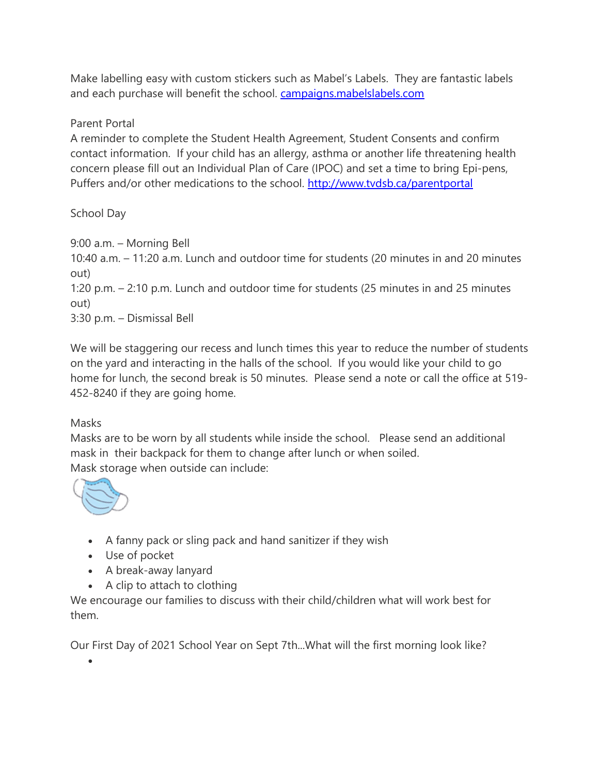Make labelling easy with custom stickers such as Mabel's Labels. They are fantastic labels and each purchase will benefit the school. [campaigns.mabelslabels.com](http://track.spe.schoolmessenger.com/f/a/T5OyXK_4B8KOwN9I7Eqygw~~/AAAAAQA~/RgRjE4UnP4QvAWh0dHBzOi8vY2FuMDEuc2FmZWxpbmtzLnByb3RlY3Rpb24ub3V0bG9vay5jb20vP3VybD1odHRwJTNBJTJGJTJGY2FtcGFpZ25zLm1hYmVsc2xhYmVscy5jb20lMkYmZGF0YT0wMiU3QzAxJTdDc3VzYW5uZS55b3VuZyU0MHR2ZHNiLmNhJTdDMGNmNDdlZWY3YjM2NDE1NmU5M2MwOGQ4NDA4NTg0MzAlN0MyMDI0YzVkNmJlZDU0NzA1OThhY2Y4M2U2NGE3OGU5OSU3QzElN0MwJTdDNjM3MzMwMjg5NDgxMDY2NTc0JnNkYXRhPTFHMVFBUzR6ZDBRYSUyRiUyQlk5VVclMkZIN29SMG1ZSWFrSGxUMmVQcWZvV01OZjglM0QmcmVzZXJ2ZWQ9MFcHc2Nob29sbUIKYTCnUTJh6dbFu1IVamFja2NoYW1iZXJzQHR2ZHNiLmNhWAQAAAAC) 

### Parent Portal

A reminder to complete the Student Health Agreement, Student Consents and confirm contact information. If your child has an allergy, asthma or another life threatening health concern please fill out an Individual Plan of Care (IPOC) and set a time to bring Epi-pens, Puffers and/or other medications to the school. [http://www.tvdsb.ca/parentportal](http://track.spe.schoolmessenger.com/f/a/b5rugGjc-IVbqzQdkk5Lxg~~/AAAAAQA~/RgRjE4UnP0QzaHR0cHM6Ly9zY2hvb2xhcHBzMi50dmRzYi5jYS9wYXJlbnRzL3R2ZHNiX3BhcmVudHMvVwdzY2hvb2xtQgphMKdRMmHp1sW7UhVqYWNrY2hhbWJlcnNAdHZkc2IuY2FYBAAAAAI~) 

# School Day

9:00 a.m. – Morning Bell

10:40 a.m. – 11:20 a.m. Lunch and outdoor time for students (20 minutes in and 20 minutes out)

1:20 p.m. – 2:10 p.m. Lunch and outdoor time for students (25 minutes in and 25 minutes out)

3:30 p.m. – Dismissal Bell

We will be staggering our recess and lunch times this year to reduce the number of students on the yard and interacting in the halls of the school. If you would like your child to go home for lunch, the second break is 50 minutes. Please send a note or call the office at 519- 452-8240 if they are going home.

### Masks

Masks are to be worn by all students while inside the school. Please send an additional mask in their backpack for them to change after lunch or when soiled. Mask storage when outside can include:



•

- A fanny pack or sling pack and hand sanitizer if they wish
- Use of pocket
- A break-away lanyard
- A clip to attach to clothing

We encourage our families to discuss with their child/children what will work best for them.

Our First Day of 2021 School Year on Sept 7th...What will the first morning look like?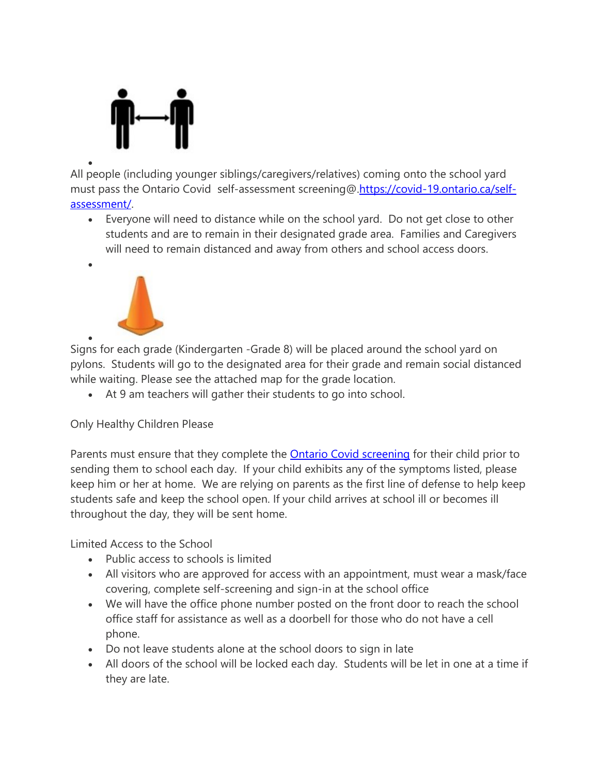

• All people (including younger siblings/caregivers/relatives) coming onto the school yard must pass the Ontario Covid self-assessment screening@[.https://covid-19.ontario.ca/self](http://track.spe.schoolmessenger.com/f/a/8JJEKuFIZ0ULSPequUfgmQ~~/AAAAAQA~/RgRjE4UnP0QsaHR0cHM6Ly9jb3ZpZC0xOS5vbnRhcmlvLmNhL3NlbGYtYXNzZXNzbWVudC9XB3NjaG9vbG1CCmEwp1EyYenWxbtSFWphY2tjaGFtYmVyc0B0dmRzYi5jYVgEAAAAAg~~)[assessment/.](http://track.spe.schoolmessenger.com/f/a/8JJEKuFIZ0ULSPequUfgmQ~~/AAAAAQA~/RgRjE4UnP0QsaHR0cHM6Ly9jb3ZpZC0xOS5vbnRhcmlvLmNhL3NlbGYtYXNzZXNzbWVudC9XB3NjaG9vbG1CCmEwp1EyYenWxbtSFWphY2tjaGFtYmVyc0B0dmRzYi5jYVgEAAAAAg~~)

• Everyone will need to distance while on the school yard. Do not get close to other students and are to remain in their designated grade area. Families and Caregivers will need to remain distanced and away from others and school access doors.



•

• Signs for each grade (Kindergarten -Grade 8) will be placed around the school yard on pylons. Students will go to the designated area for their grade and remain social distanced while waiting. Please see the attached map for the grade location.

• At 9 am teachers will gather their students to go into school.

# Only Healthy Children Please

Parents must ensure that they complete the Ontario Covid [screening](http://track.spe.schoolmessenger.com/f/a/SkXWCOOz16xXAoYNIRDF-g~~/AAAAAQA~/RgRjE4UnP0Q0aHR0cHM6Ly9jb3ZpZC0xOS5vbnRhcmlvLmNhL3NjaG9vbC1zY3JlZW5pbmcvY29udGV4dFcHc2Nob29sbUIKYTCnUTJh6dbFu1IVamFja2NoYW1iZXJzQHR2ZHNiLmNhWAQAAAAC) for their child prior to sending them to school each day. If your child exhibits any of the symptoms listed, please keep him or her at home. We are relying on parents as the first line of defense to help keep students safe and keep the school open. If your child arrives at school ill or becomes ill throughout the day, they will be sent home.

Limited Access to the School

- Public access to schools is limited
- All visitors who are approved for access with an appointment, must wear a mask/face covering, complete self-screening and sign-in at the school office
- We will have the office phone number posted on the front door to reach the school office staff for assistance as well as a doorbell for those who do not have a cell phone.
- Do not leave students alone at the school doors to sign in late
- All doors of the school will be locked each day. Students will be let in one at a time if they are late.